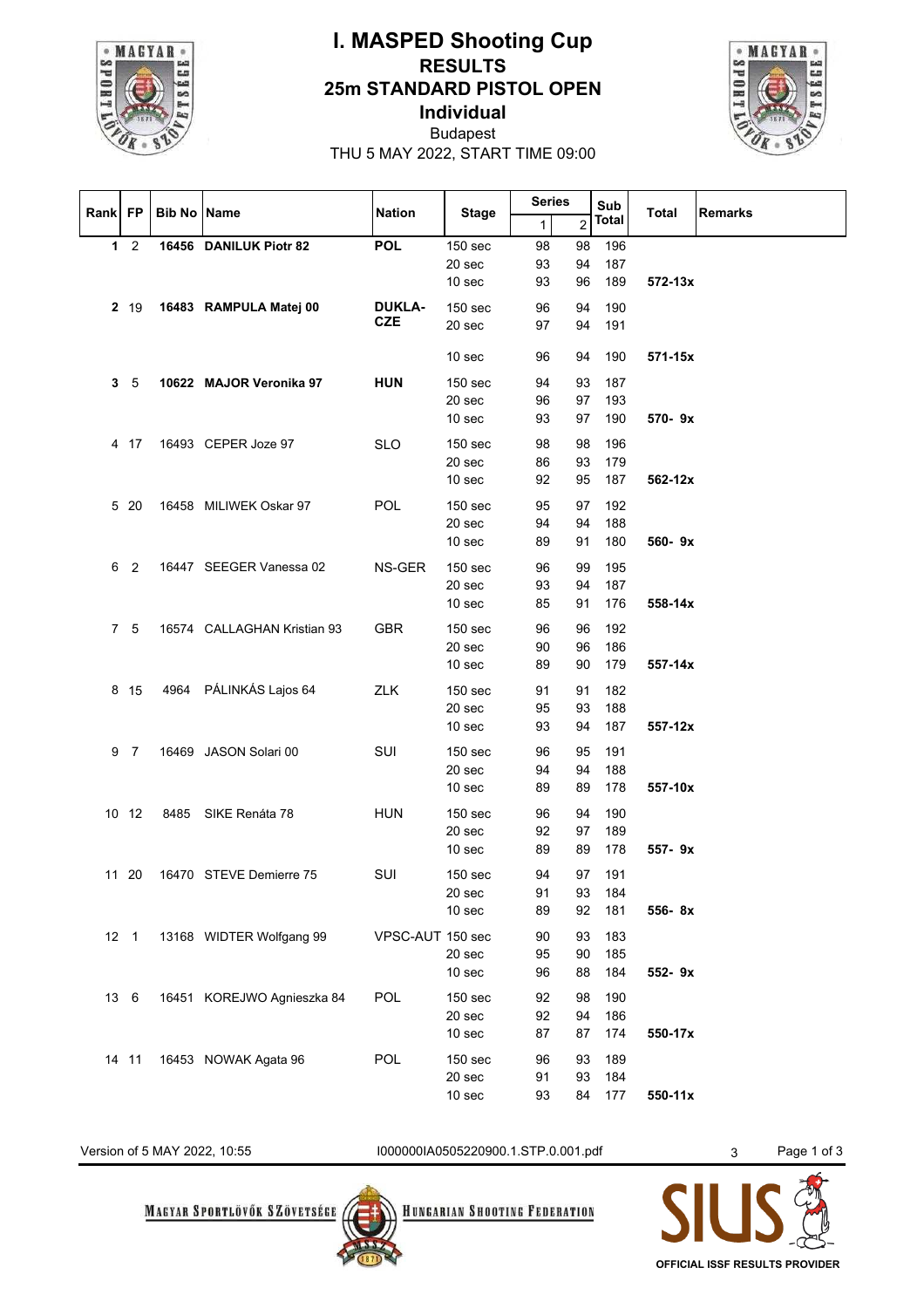

## **I. MASPED Shooting Cup RESULTS 25m STANDARD PISTOL OPEN Individual**



Budapest THU 5 MAY 2022, START TIME 09:00

| Rank FP |                 | <b>Bib No Name</b> |                             | <b>Nation</b>    | <b>Stage</b>       | <b>Series</b> |    | Sub    | <b>Total</b><br><b>Remarks</b> |
|---------|-----------------|--------------------|-----------------------------|------------------|--------------------|---------------|----|--------|--------------------------------|
|         |                 |                    |                             |                  |                    | $\mathbf{1}$  | 2  | Total  |                                |
|         | $1\quad 2$      |                    | 16456 DANILUK Piotr 82      | <b>POL</b>       | 150 <sub>sec</sub> | 98            | 98 | 196    |                                |
|         |                 |                    |                             |                  | 20 sec             | 93            | 94 | 187    |                                |
|         |                 |                    |                             |                  | 10 <sub>sec</sub>  | 93            | 96 | 189    | 572-13x                        |
|         | 2 19            |                    | 16483 RAMPULA Matej 00      | <b>DUKLA-</b>    | 150 <sub>sec</sub> | 96            | 94 | 190    |                                |
|         |                 |                    |                             | <b>CZE</b>       | 20 sec             | 97            | 94 | 191    |                                |
|         |                 |                    |                             |                  |                    |               |    |        |                                |
|         |                 |                    |                             |                  | 10 <sub>sec</sub>  | 96            | 94 | 190    | 571-15x                        |
| 3       | 5               |                    | 10622 MAJOR Veronika 97     | <b>HUN</b>       | 150 sec            | 94            | 93 | 187    |                                |
|         |                 |                    |                             |                  | 20 sec             | 96            | 97 | 193    |                                |
|         |                 |                    |                             |                  | 10 <sub>sec</sub>  | 93            | 97 | 190    | 570-9x                         |
|         | 4 17            |                    | 16493 CEPER Joze 97         | <b>SLO</b>       | 150 <sub>sec</sub> | 98            | 98 | 196    |                                |
|         |                 |                    |                             |                  | 20 sec             | 86            | 93 | 179    |                                |
|         |                 |                    |                             |                  | 10 <sub>sec</sub>  | 92            | 95 | 187    | 562-12x                        |
|         |                 |                    |                             |                  |                    |               |    |        |                                |
|         | 5 20            |                    | 16458 MILIWEK Oskar 97      | <b>POL</b>       | 150 sec            | 95            | 97 | 192    |                                |
|         |                 |                    |                             |                  | 20 sec             | 94            | 94 | 188    |                                |
|         |                 |                    |                             |                  | 10 <sub>sec</sub>  | 89            | 91 | 180    | 560-9x                         |
| 6       | 2               |                    | 16447 SEEGER Vanessa 02     | NS-GER           | 150 <sub>sec</sub> | 96            | 99 | 195    |                                |
|         |                 |                    |                             |                  | 20 sec             | 93            | 94 | 187    |                                |
|         |                 |                    |                             |                  | 10 <sub>sec</sub>  | 85            | 91 | 176    | 558-14x                        |
|         | 7 5             |                    | 16574 CALLAGHAN Kristian 93 | <b>GBR</b>       | 150 sec            | 96            | 96 | 192    |                                |
|         |                 |                    |                             |                  | 20 sec             | 90            | 96 | 186    |                                |
|         |                 |                    |                             |                  | 10 <sub>sec</sub>  | 89            | 90 | 179    | 557-14x                        |
|         | 8 15            |                    | 4964 PÁLINKÁS Lajos 64      | <b>ZLK</b>       | 150 sec            | 91            | 91 | 182    |                                |
|         |                 |                    |                             |                  | 20 sec             | 95            | 93 | 188    |                                |
|         |                 |                    |                             |                  | 10 <sub>sec</sub>  | 93            | 94 | 187    | 557-12x                        |
|         |                 |                    |                             |                  |                    |               |    |        |                                |
| 9       | 7               |                    | 16469 JASON Solari 00       | SUI              | <b>150 sec</b>     | 96            | 95 | 191    |                                |
|         |                 |                    |                             |                  | 20 sec             | 94            | 94 | 188    |                                |
|         |                 |                    |                             |                  | 10 <sub>sec</sub>  | 89            | 89 | 178    | 557-10x                        |
|         | 10 12           |                    | 8485 SIKE Renáta 78         | <b>HUN</b>       | 150 sec            | 96            | 94 | 190    |                                |
|         |                 |                    |                             |                  | 20 sec             | 92            | 97 | 189    |                                |
|         |                 |                    |                             |                  | 10 <sub>sec</sub>  | 89            | 89 | 178    | 557-9x                         |
|         | 11 20           |                    | 16470 STEVE Demierre 75     | SUI              | 150 <sub>sec</sub> | 94            |    | 97 191 |                                |
|         |                 |                    |                             |                  | 20 <sub>sec</sub>  | 91            |    | 93 184 |                                |
|         |                 |                    |                             |                  | 10 sec             | 89            | 92 | 181    | 556-8x                         |
|         | 12 <sub>1</sub> |                    | 13168 WIDTER Wolfgang 99    | VPSC-AUT 150 sec |                    | 90            | 93 | 183    |                                |
|         |                 |                    |                             |                  | 20 sec             | 95            | 90 | 185    |                                |
|         |                 |                    |                             |                  | 10 sec             | 96            | 88 | 184    | 552-9x                         |
|         | 13 6            |                    | 16451 KOREJWO Agnieszka 84  | POL              | 150 sec            | 92            | 98 | 190    |                                |
|         |                 |                    |                             |                  | 20 sec             | 92            | 94 | 186    |                                |
|         |                 |                    |                             |                  | 10 <sub>sec</sub>  | 87            | 87 | 174    | 550-17x                        |
|         |                 |                    |                             |                  |                    |               |    |        |                                |
|         | 14 11           |                    | 16453 NOWAK Agata 96        | <b>POL</b>       | 150 sec            | 96            | 93 | 189    |                                |
|         |                 |                    |                             |                  | 20 <sub>sec</sub>  | 91            | 93 | 184    |                                |
|         |                 |                    |                             |                  | 10 <sub>sec</sub>  | 93            | 84 | 177    | 550-11x                        |

Version of 5 MAY 2022, 10:55 00000001A0505220900.1.STP.0.001.pdf 3 Page 1 of 3

**MAGYAR SPORTLÖVŐK SZÖVETSÉGE** 



**HUNGARIAN SHOOTING FEDERATION** 

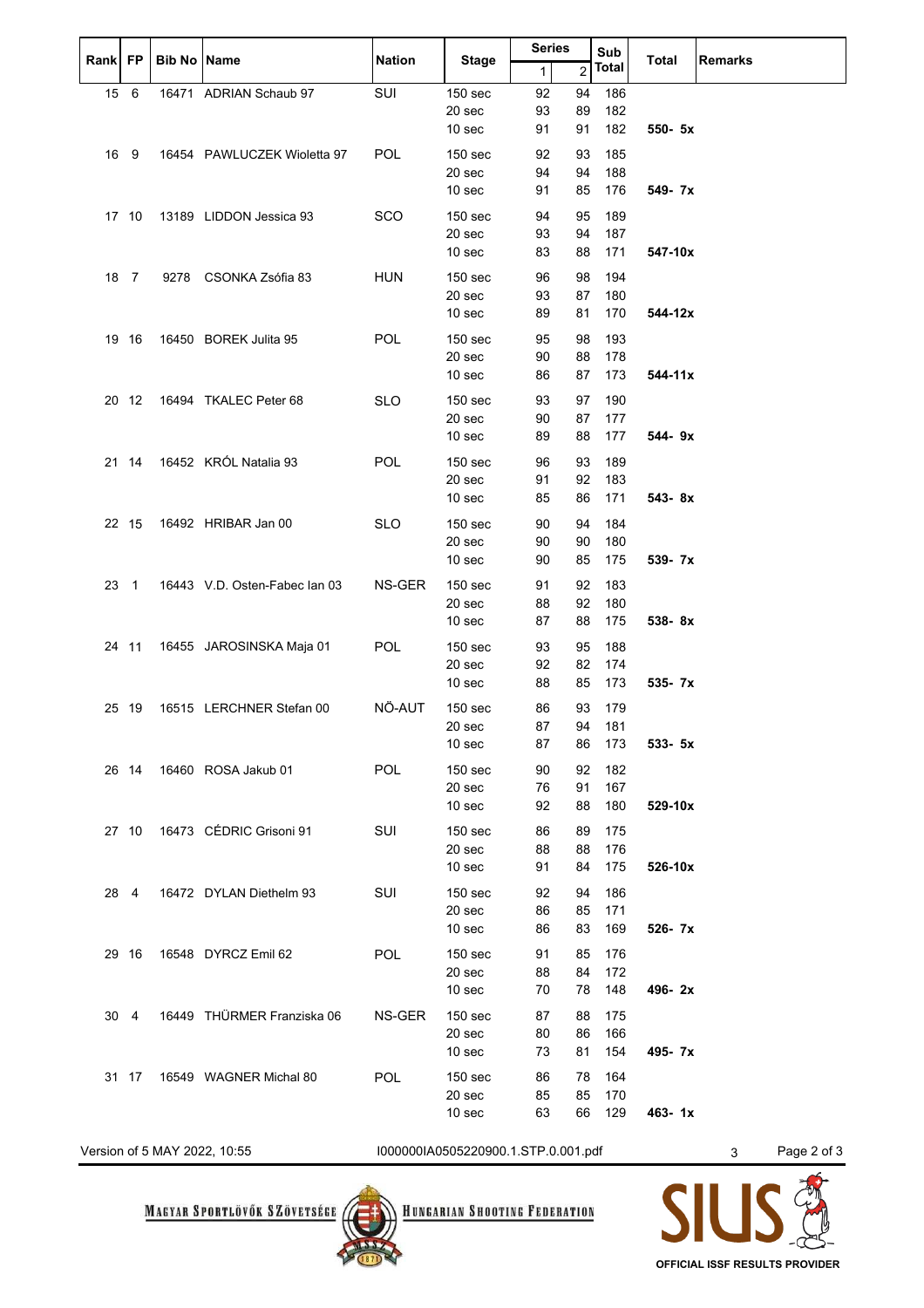| Rank | FP    | <b>Bib No Name</b> |                               | <b>Nation</b> | <b>Stage</b>       |              | <b>Series</b>  |       | Sub          |                |
|------|-------|--------------------|-------------------------------|---------------|--------------------|--------------|----------------|-------|--------------|----------------|
|      |       |                    |                               |               |                    | $\mathbf{1}$ | $\overline{2}$ | Total | <b>Total</b> | <b>Remarks</b> |
| 15 6 |       |                    | 16471 ADRIAN Schaub 97        | SUI           | 150 sec            | 92           | 94             | 186   |              |                |
|      |       |                    |                               |               | 20 sec             | 93           | 89             | 182   |              |                |
|      |       |                    |                               |               | 10 sec             | 91           | 91             | 182   | 550- 5x      |                |
|      | 16 9  |                    | 16454 PAWLUCZEK Wioletta 97   | <b>POL</b>    | 150 <sub>sec</sub> | 92           | 93             | 185   |              |                |
|      |       |                    |                               |               | 20 sec             | 94           | 94             | 188   |              |                |
|      |       |                    |                               |               | 10 <sub>sec</sub>  | 91           | 85             | 176   | 549- 7x      |                |
|      | 17 10 |                    | 13189 LIDDON Jessica 93       | <b>SCO</b>    | 150 <sub>sec</sub> | 94           | 95             | 189   |              |                |
|      |       |                    |                               |               | 20 sec             | 93           | 94             | 187   |              |                |
|      |       |                    |                               |               | 10 <sub>sec</sub>  | 83           | 88             | 171   | 547-10x      |                |
|      | 18 7  |                    | 9278 CSONKA Zsófia 83         | <b>HUN</b>    | 150 <sub>sec</sub> | 96           | 98             | 194   |              |                |
|      |       |                    |                               |               | 20 sec             | 93           | 87             | 180   |              |                |
|      |       |                    |                               |               | 10 <sub>sec</sub>  | 89           | 81             | 170   | 544-12x      |                |
|      | 19 16 |                    | 16450 BOREK Julita 95         | <b>POL</b>    | 150 <sub>sec</sub> | 95           | 98             | 193   |              |                |
|      |       |                    |                               |               | 20 sec             | 90           | 88             | 178   |              |                |
|      |       |                    |                               |               | 10 <sub>sec</sub>  | 86           | 87             | 173   | 544-11x      |                |
|      | 20 12 |                    | 16494 TKALEC Peter 68         | <b>SLO</b>    | 150 sec            | 93           | 97             | 190   |              |                |
|      |       |                    |                               |               | 20 sec             | 90           | 87             | 177   |              |                |
|      |       |                    |                               |               | 10 sec             | 89           | 88             | 177   | 544-9x       |                |
|      |       |                    | 21 14 16452 KRÓL Natalia 93   | <b>POL</b>    | 150 sec            | 96           | 93             | 189   |              |                |
|      |       |                    |                               |               | 20 sec             | 91           | 92             | 183   |              |                |
|      |       |                    |                               |               | 10 sec             | 85           | 86             | 171   | 543-8x       |                |
|      | 22 15 |                    | 16492 HRIBAR Jan 00           | <b>SLO</b>    | 150 <sub>sec</sub> | 90           | 94             | 184   |              |                |
|      |       |                    |                               |               | 20 sec             | 90           | 90             | 180   |              |                |
|      |       |                    |                               |               | 10 sec             | 90           | 85             | 175   | 539- 7x      |                |
|      | 23 1  |                    | 16443 V.D. Osten-Fabec Ian 03 | NS-GER        | 150 <sub>sec</sub> | 91           | 92             | 183   |              |                |
|      |       |                    |                               |               | 20 sec             | 88           | 92             | 180   |              |                |
|      |       |                    |                               |               | 10 <sub>sec</sub>  | 87           | 88             | 175   | 538-8x       |                |
|      | 24 11 |                    | 16455 JAROSINSKA Maja 01      | <b>POL</b>    | 150 <sub>sec</sub> | 93           | 95             | 188   |              |                |
|      |       |                    |                               |               | 20 sec             | 92           | 82             | 174   |              |                |
|      |       |                    |                               |               | 10 <sub>sec</sub>  | 88           | 85             | 173   | 535- 7x      |                |
|      | 25 19 |                    | 16515 LERCHNER Stefan 00      | NÖ-AUT        | 150 sec            | 86           | 93             | 179   |              |                |
|      |       |                    |                               |               | 20 sec             | 87           | 94             | 181   |              |                |
|      |       |                    |                               |               | 10 <sub>sec</sub>  | 87           | 86             | - 173 | 533- 5x      |                |
|      |       |                    | 26 14 16460 ROSA Jakub 01     | <b>POL</b>    | 150 <sub>sec</sub> | 90           | 92             | 182   |              |                |
|      |       |                    |                               |               | 20 sec             | 76           | 91             | 167   |              |                |
|      |       |                    |                               |               | 10 <sub>sec</sub>  | 92           | 88             | 180   | 529-10x      |                |
|      |       |                    | 27 10 16473 CÉDRIC Grisoni 91 | SUI           | 150 <sub>sec</sub> | 86           | 89             | 175   |              |                |
|      |       |                    |                               |               | 20 sec             | 88           | 88             | 176   |              |                |
|      |       |                    |                               |               | 10 <sub>sec</sub>  | 91           | 84             | 175   | 526-10x      |                |
|      | 28 4  |                    | 16472 DYLAN Diethelm 93       | SUI           | 150 <sub>sec</sub> | 92           | 94             | 186   |              |                |
|      |       |                    |                               |               | 20 sec             | 86           | 85             | 171   |              |                |
|      |       |                    |                               |               | 10 <sub>sec</sub>  | 86           | 83             | 169   | 526-7x       |                |
|      | 29 16 |                    | 16548 DYRCZ Emil 62           | <b>POL</b>    | 150 <sub>sec</sub> | 91           | 85             | 176   |              |                |
|      |       |                    |                               |               | 20 sec             | 88           | 84             | 172   |              |                |
|      |       |                    |                               |               | 10 <sub>sec</sub>  | 70           | 78             | 148   | 496-2x       |                |
|      | 30 4  |                    | 16449 THÜRMER Franziska 06    | NS-GER        | 150 <sub>sec</sub> | 87           | 88             | 175   |              |                |
|      |       |                    |                               |               | 20 sec             | 80           | 86             | 166   |              |                |
|      |       |                    |                               |               | 10 <sub>sec</sub>  | 73           | 81             | 154   | 495-7x       |                |
|      | 31 17 |                    | 16549 WAGNER Michal 80        | <b>POL</b>    | 150 <sub>sec</sub> | 86           | 78             | 164   |              |                |
|      |       |                    |                               |               | 20 sec             | 85           | 85             | 170   |              |                |
|      |       |                    |                               |               | 10 sec             | 63           | 66             | 129   | 463-1x       |                |
|      |       |                    |                               |               |                    |              |                |       |              |                |

Version of 5 MAY 2022, 10:55 I000000IA0505220900.1.STP.0.001.pdf 3 Page 2 of 3

**MAGYAR SPORTLÖVŐK SZÖVETSÉGE** 



**HUNGARIAN SHOOTING FEDERATION**